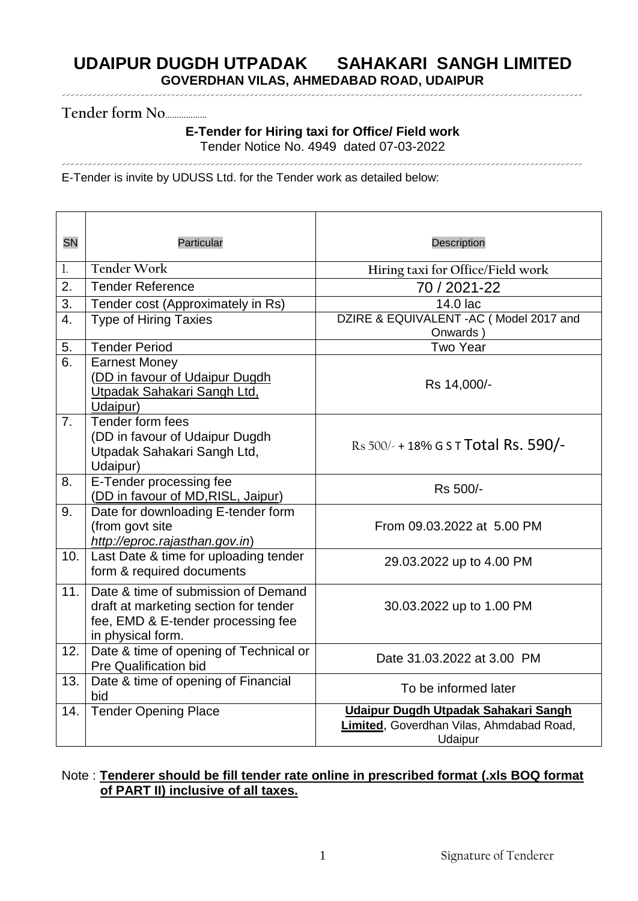-----------------------------------------------------------------------------------------------------------------------

**Tender form No**………………

### **E-Tender for Hiring taxi for Office/ Field work** Tender Notice No. 4949 dated 07-03-2022

-----------------------------------------------------------------------------------------------------------------------

E-Tender is invite by UDUSS Ltd. for the Tender work as detailed below:

| <b>SN</b>      | Particular                                                                                                                              | <b>Description</b>                                                                          |  |
|----------------|-----------------------------------------------------------------------------------------------------------------------------------------|---------------------------------------------------------------------------------------------|--|
| 1.             | <b>Tender Work</b>                                                                                                                      | Hiring taxi for Office/Field work                                                           |  |
| 2.             | <b>Tender Reference</b>                                                                                                                 | 70 / 2021-22                                                                                |  |
| 3.             | Tender cost (Approximately in Rs)                                                                                                       | 14.0 lac                                                                                    |  |
| 4.             | <b>Type of Hiring Taxies</b>                                                                                                            | DZIRE & EQUIVALENT - AC ( Model 2017 and<br>Onwards)                                        |  |
| 5.             | <b>Tender Period</b>                                                                                                                    | <b>Two Year</b>                                                                             |  |
| 6.             | <b>Earnest Money</b><br>(DD in favour of Udaipur Dugdh<br>Utpadak Sahakari Sangh Ltd.<br>Udaipur)                                       | Rs 14,000/-                                                                                 |  |
| 7 <sub>1</sub> | Tender form fees<br>(DD in favour of Udaipur Dugdh<br>Utpadak Sahakari Sangh Ltd,<br>Udaipur)                                           | Rs $500/4$ + 18% G S T Total Rs. 590/-                                                      |  |
| 8.             | E-Tender processing fee<br>(DD in favour of MD, RISL, Jaipur)                                                                           | Rs 500/-                                                                                    |  |
| 9.             | Date for downloading E-tender form<br>(from govt site<br>http://eproc.rajasthan.gov.in)                                                 | From 09.03.2022 at 5.00 PM                                                                  |  |
| 10.            | Last Date & time for uploading tender<br>form & required documents                                                                      | 29.03.2022 up to 4.00 PM                                                                    |  |
| 11.            | Date & time of submission of Demand<br>draft at marketing section for tender<br>fee, EMD & E-tender processing fee<br>in physical form. | 30.03.2022 up to 1.00 PM                                                                    |  |
| 12.            | Date & time of opening of Technical or<br><b>Pre Qualification bid</b>                                                                  | Date 31.03.2022 at 3.00 PM                                                                  |  |
| 13.            | Date & time of opening of Financial<br>bid                                                                                              | To be informed later                                                                        |  |
| 14.            | <b>Tender Opening Place</b>                                                                                                             | Udaipur Dugdh Utpadak Sahakari Sangh<br>Limited, Goverdhan Vilas, Ahmdabad Road,<br>Udaipur |  |

### Note : **Tenderer should be fill tender rate online in prescribed format (.xls BOQ format of PART II) inclusive of all taxes.**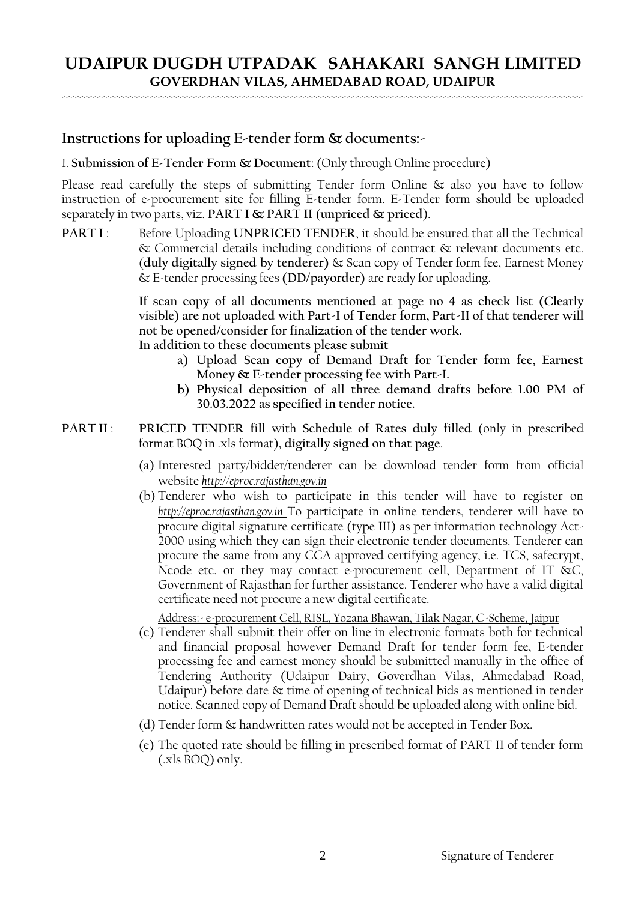-----------------------------------------------------------------------------------------------------------------------

### **Instructions for uploading E-tender form & documents:-**

1. **Submission of E-Tender Form & Document**: (Only through Online procedure)

Please read carefully the steps of submitting Tender form Online  $\&$  also you have to follow instruction of e-procurement site for filling E-tender form. E-Tender form should be uploaded separately in two parts, viz. **PART I & PART II** (**unpriced & priced**).

**PART I** : Before Uploading **UNPRICED TENDER**, it should be ensured that all the Technical & Commercial details including conditions of contract & relevant documents etc. (**duly digitally signed by tenderer)** & Scan copy of Tender form fee, Earnest Money & E-tender processing fees **(DD/payorder)** are ready for uploading**.**

> **If scan copy of all documents mentioned at page no 4 as check list (Clearly visible) are not uploaded with Part-I of Tender form, Part-II of that tenderer will not be opened/consider for finalization of the tender work.**

**In addition to these documents please submit**

- **a) Upload Scan copy of Demand Draft for Tender form fee, Earnest Money & E-tender processing fee with Part-I.**
- **b) Physical deposition of all three demand drafts before 1.00 PM of 30.03.2022 as specified in tender notice.**
- **PART II**: **PRICED TENDER** fill with Schedule of Rates duly filled (only in prescribed format BOQ in .xls format)**, digitally signed on that page**.
	- (a) Interested party/bidder/tenderer can be download tender form from official website *http://eproc.rajasthan.gov.in*
	- (b) Tenderer who wish to participate in this tender will have to register on *http://eproc.rajasthan.gov.in* To participate in online tenders, tenderer will have to procure digital signature certificate (type III) as per information technology Act-2000 using which they can sign their electronic tender documents. Tenderer can procure the same from any CCA approved certifying agency, i.e. TCS, safecrypt, Ncode etc. or they may contact e-procurement cell, Department of IT &C, Government of Rajasthan for further assistance. Tenderer who have a valid digital certificate need not procure a new digital certificate.

Address:- e-procurement Cell, RISL, Yozana Bhawan, Tilak Nagar, C-Scheme, Jaipur

- (c) Tenderer shall submit their offer on line in electronic formats both for technical and financial proposal however Demand Draft for tender form fee, E-tender processing fee and earnest money should be submitted manually in the office of Tendering Authority (Udaipur Dairy, Goverdhan Vilas, Ahmedabad Road, Udaipur) before date & time of opening of technical bids as mentioned in tender notice. Scanned copy of Demand Draft should be uploaded along with online bid.
- (d) Tender form & handwritten rates would not be accepted in Tender Box.
- (e) The quoted rate should be filling in prescribed format of PART II of tender form (.xls BOQ) only.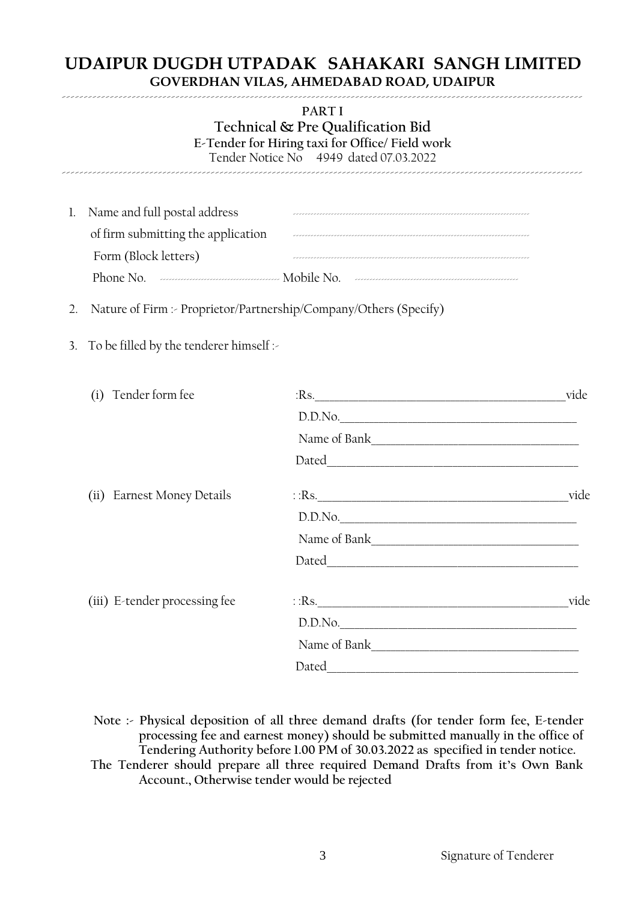-----------------------------------------------------------------------------------------------------------------------

**PART I**

**Technical & Pre Qualification Bid E-Tender for Hiring taxi for Office/ Field work** Tender Notice No 4949 dated 07.03.2022

-----------------------------------------------------------------------------------------------------------------------

| 1. Name and full postal address             |  |
|---------------------------------------------|--|
| of firm submitting the application          |  |
| Form (Block letters)                        |  |
| Phone No. <u>1990 - Electron Mobile</u> No. |  |

- 2. Nature of Firm :- Proprietor/Partnership/Company/Others (Specify)
- 3. To be filled by the tenderer himself :-

|  | (i) Tender form fee           | $Rs$ .           | vide |
|--|-------------------------------|------------------|------|
|  |                               | D.D.No.          |      |
|  |                               | Name of Bank     |      |
|  |                               |                  |      |
|  | (ii) Earnest Money Details    | $\therefore$ Rs. | vide |
|  |                               | D.D.No.          |      |
|  |                               |                  |      |
|  |                               |                  |      |
|  | (iii) E-tender processing fee | $\therefore$ Rs. | vide |
|  |                               | D.D.No.          |      |
|  |                               |                  |      |
|  |                               |                  |      |

**Note :- Physical deposition of all three demand drafts (for tender form fee, E-tender processing fee and earnest money) should be submitted manually in the office of Tendering Authority before 1.00 PM of 30.03.2022 as specified in tender notice. The Tenderer should prepare all three required Demand Drafts from it's Own Bank Account., Otherwise tender would be rejected**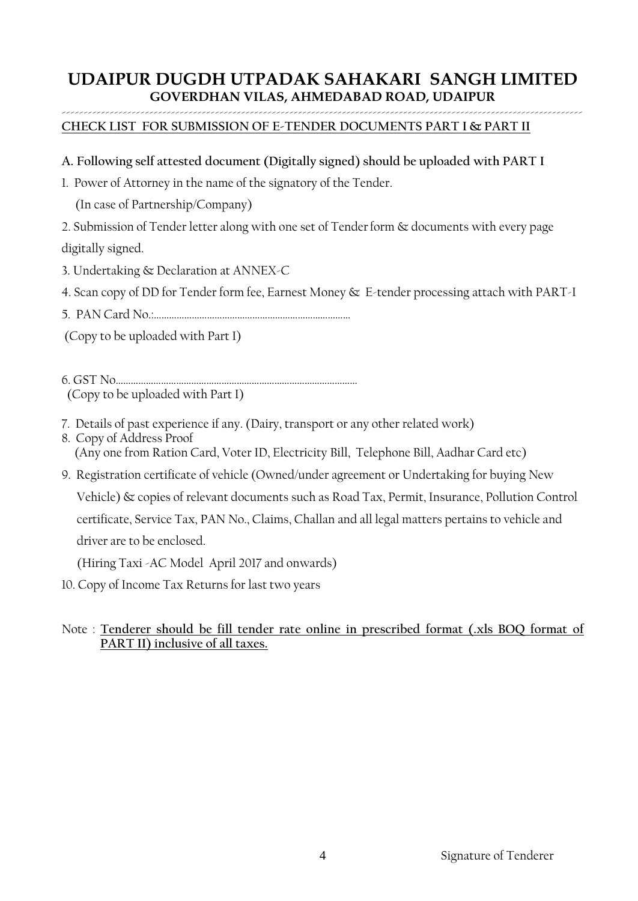#### ----------------------------------------------------------------------------------------------------------------------- **CHECK LIST FOR SUBMISSION OF E-TENDER DOCUMENTS PART I & PART II**

### **A. Following self attested document (Digitally signed) should be uploaded with PART I**

1. Power of Attorney in the name of the signatory of the Tender.

(In case of Partnership/Company)

2. Submission of Tender letter along with one set of Tenderform & documents with every page digitally signed.

3. Undertaking & Declaration at ANNEX-C

- 4. Scan copy of DD for Tender form fee, Earnest Money & E-tender processing attach with PART-I
- 5. PAN Card No.:……………………………………………………………………

(Copy to be uploaded with Part I)

6. GST No…………………………………………………………………………………… (Copy to be uploaded with Part I)

- 7. Details of past experience if any. (Dairy, transport or any other related work)
- 8. Copy of Address Proof (Any one from Ration Card, Voter ID, Electricity Bill, Telephone Bill, Aadhar Card etc)
- 9. Registration certificate of vehicle (Owned/under agreement or Undertaking for buying New Vehicle) & copies of relevant documents such as Road Tax, Permit, Insurance, Pollution Control certificate, Service Tax, PAN No., Claims, Challan and all legal matters pertains to vehicle and driver are to be enclosed.

(Hiring Taxi -AC Model April 2017 and onwards)

10. Copy of Income Tax Returns for last two years

### Note : **Tenderer should be fill tender rate online in prescribed format (.xls BOQ format of PART II) inclusive of all taxes.**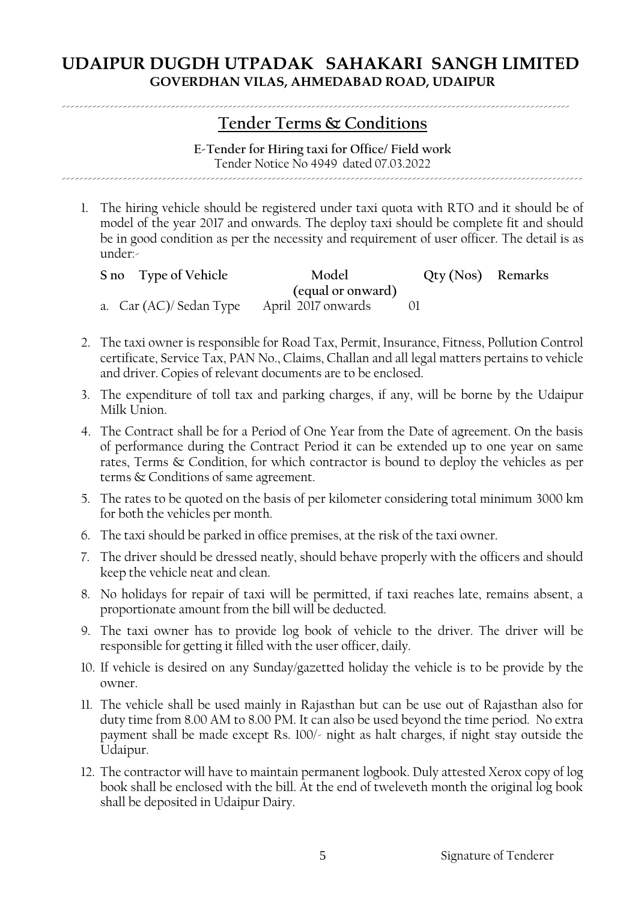# **Tender Terms & Conditions**

--------------------------------------------------------------------------------------------------------------------

**E-Tender for Hiring taxi for Office/ Field work** Tender Notice No 4949 dated 07.03.2022

-----------------------------------------------------------------------------------------------------------------------

1. The hiring vehicle should be registered under taxi quota with RTO and it should be of model of the year 2017 and onwards. The deploy taxi should be complete fit and should be in good condition as per the necessity and requirement of user officer. The detail is as under:-

| S no Type of Vehicle                      | Model             | Qty (Nos) Remarks |  |
|-------------------------------------------|-------------------|-------------------|--|
|                                           | (equal or onward) |                   |  |
| a. Car (AC)/Sedan Type April 2017 onwards |                   |                   |  |

- 2. The taxi owner is responsible for Road Tax, Permit, Insurance, Fitness, Pollution Control certificate, Service Tax, PAN No., Claims, Challan and all legal matters pertains to vehicle and driver. Copies of relevant documents are to be enclosed.
- 3. The expenditure of toll tax and parking charges, if any, will be borne by the Udaipur Milk Union.
- 4. The Contract shall be for a Period of One Year from the Date of agreement. On the basis of performance during the Contract Period it can be extended up to one year on same rates, Terms & Condition, for which contractor is bound to deploy the vehicles as per terms & Conditions of same agreement.
- 5. The rates to be quoted on the basis of per kilometer considering total minimum 3000 km for both the vehicles per month.
- 6. The taxi should be parked in office premises, at the risk of the taxi owner.
- 7. The driver should be dressed neatly, should behave properly with the officers and should keep the vehicle neat and clean.
- 8. No holidays for repair of taxi will be permitted, if taxi reaches late, remains absent, a proportionate amount from the bill will be deducted.
- 9. The taxi owner has to provide log book of vehicle to the driver. The driver will be responsible for getting it filled with the user officer, daily.
- 10. If vehicle is desired on any Sunday/gazetted holiday the vehicle is to be provide by the owner.
- 11. The vehicle shall be used mainly in Rajasthan but can be use out of Rajasthan also for duty time from 8.00 AM to 8.00 PM. It can also be used beyond the time period. No extra payment shall be made except Rs. 100/- night as halt charges, if night stay outside the Udaipur.
- 12. The contractor will have to maintain permanent logbook. Duly attested Xerox copy of log book shall be enclosed with the bill. At the end of tweleveth month the original log book shall be deposited in Udaipur Dairy.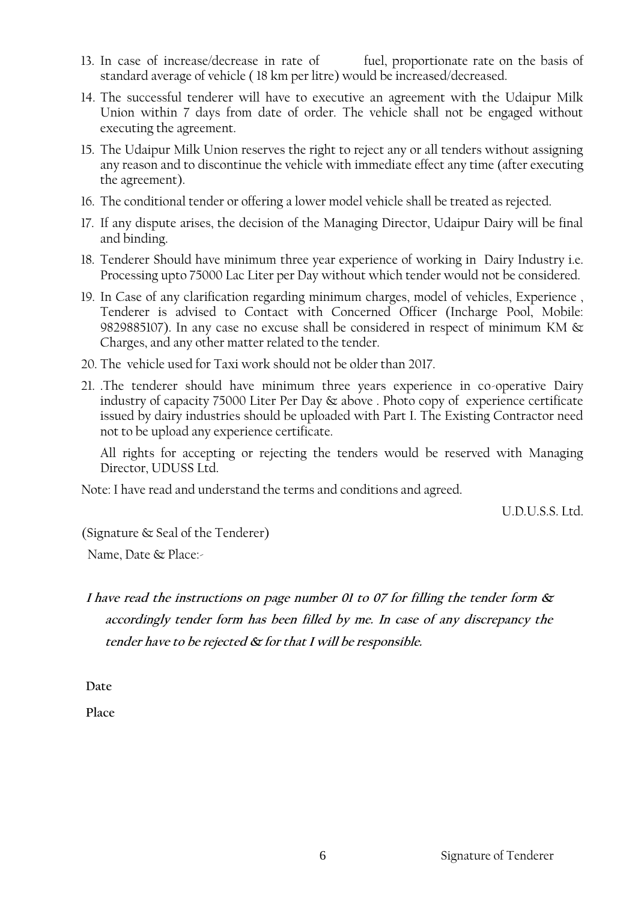- 13. In case of increase/decrease in rate of fuel, proportionate rate on the basis of standard average of vehicle ( 18 km per litre) would be increased/decreased.
- 14. The successful tenderer will have to executive an agreement with the Udaipur Milk Union within 7 days from date of order. The vehicle shall not be engaged without executing the agreement.
- 15. The Udaipur Milk Union reserves the right to reject any or all tenders without assigning any reason and to discontinue the vehicle with immediate effect any time (after executing the agreement).
- 16. The conditional tender or offering a lower model vehicle shall be treated as rejected.
- 17. If any dispute arises, the decision of the Managing Director, Udaipur Dairy will be final and binding.
- 18. Tenderer Should have minimum three year experience of working in Dairy Industry i.e. Processing upto 75000 Lac Liter per Day without which tender would not be considered.
- 19. In Case of any clarification regarding minimum charges, model of vehicles, Experience , Tenderer is advised to Contact with Concerned Officer (Incharge Pool, Mobile: 9829885107). In any case no excuse shall be considered in respect of minimum KM & Charges, and any other matter related to the tender.
- 20. The vehicle used for Taxi work should not be older than 2017.
- 21. .The tenderer should have minimum three years experience in co-operative Dairy industry of capacity 75000 Liter Per Day & above . Photo copy of experience certificate issued by dairy industries should be uploaded with Part I. The Existing Contractor need not to be upload any experience certificate.

All rights for accepting or rejecting the tenders would be reserved with Managing Director, UDUSS Ltd.

Note: I have read and understand the terms and conditions and agreed.

U.D.U.S.S. Ltd.

(Signature & Seal of the Tenderer)

Name, Date & Place:-

**<sup>I</sup> have read the instructions on page number 01 to 07 for filling the tender form & accordingly tender form has been filled by me. In case of any discrepancy the tender have to be rejected & for that I will be responsible.** 

**Date** 

**Place**